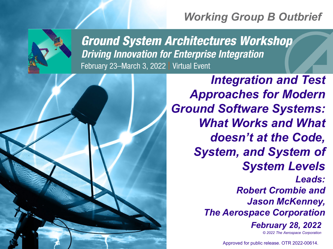# *Working Group B Outbrief*



**Ground System Architectures Workshop Driving Innovation for Enterprise Integration** February 23-March 3, 2022 | Virtual Event

> *© 2022 The Aerospace Corporation Integration and Test Approaches for Modern Ground Software Systems: What Works and What doesn't at the Code, System, and System of System Levels Leads: Robert Crombie and Jason McKenney, The Aerospace Corporation February 28, 2022*

> > Approved for public release. OTR 2022-00614.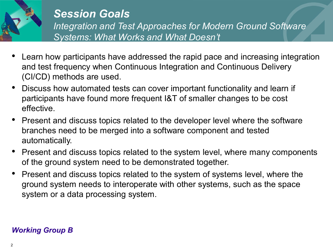

## *Session Goals Integration and Test Approaches for Modern Ground Software Systems: What Works and What Doesn't*

- Learn how participants have addressed the rapid pace and increasing integration and test frequency when Continuous Integration and Continuous Delivery (CI/CD) methods are used.
- Discuss how automated tests can cover important functionality and learn if participants have found more frequent I&T of smaller changes to be cost effective.
- Present and discuss topics related to the developer level where the software branches need to be merged into a software component and tested automatically.
- Present and discuss topics related to the system level, where many components of the ground system need to be demonstrated together.
- Present and discuss topics related to the system of systems level, where the ground system needs to interoperate with other systems, such as the space system or a data processing system.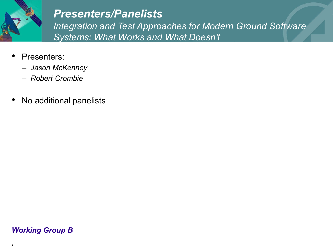

## *Presenters/Panelists*

*Integration and Test Approaches for Modern Ground Software Systems: What Works and What Doesn't*

- Presenters:
	- *Jason McKenney*
	- *Robert Crombie*
- No additional panelists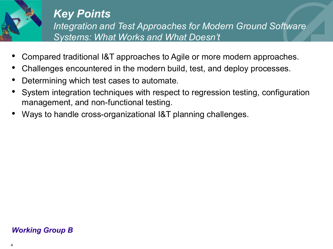

## *Key Points*

*Integration and Test Approaches for Modern Ground Software Systems: What Works and What Doesn't*

- Compared traditional I&T approaches to Agile or more modern approaches.
- Challenges encountered in the modern build, test, and deploy processes.
- Determining which test cases to automate.
- System integration techniques with respect to regression testing, configuration management, and non-functional testing.
- Ways to handle cross-organizational I&T planning challenges.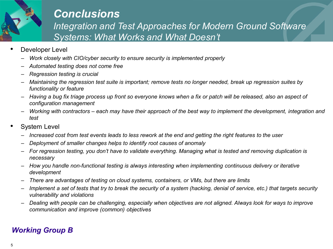

## *Conclusions*

*Integration and Test Approaches for Modern Ground Software Systems: What Works and What Doesn't*

- Developer Level
	- *Work closely with CIO/cyber security to ensure security is implemented properly*
	- *Automated testing does not come free*
	- *Regression testing is crucial*
	- *Maintaining the regression test suite is important; remove tests no longer needed, break up regression suites by functionality or feature*
	- *Having a bug fix triage process up front so everyone knows when a fix or patch will be released, also an aspect of configuration management*
	- *Working with contractors – each may have their approach of the best way to implement the development, integration and test*
- **System Level** 
	- *Increased cost from test events leads to less rework at the end and getting the right features to the user*
	- *Deployment of smaller changes helps to identify root causes of anomaly*
	- *For regression testing, you don't have to validate everything. Managing what is tested and removing duplication is necessary*
	- *How you handle non-functional testing is always interesting when implementing continuous delivery or iterative development*
	- *There are advantages of testing on cloud systems, containers, or VMs, but there are limits*
	- *Implement a set of tests that try to break the security of a system (hacking, denial of service, etc.) that targets security vulnerability and violations*
	- *Dealing with people can be challenging, especially when objectives are not aligned. Always look for ways to improve communication and improve (common) objectives*